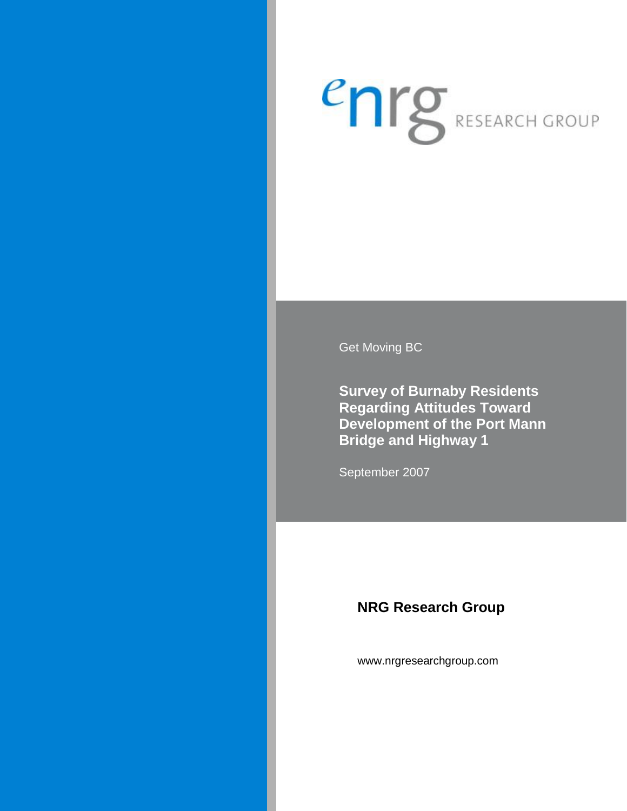# enrg RESEARCH GROUP

Get Moving BC

**Survey of Burnaby Residents Regarding Attitudes Toward Development of the Port Mann Bridge and Highway 1** 

September 2007

# **NRG Research Group**

www.nrgresearchgroup.com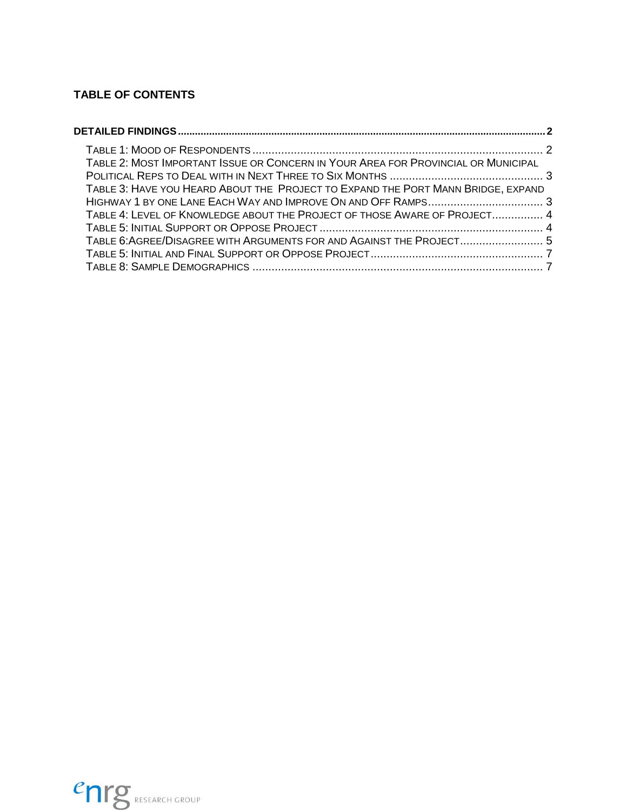## **TABLE OF CONTENTS**

| TABLE 2: MOST IMPORTANT ISSUE OR CONCERN IN YOUR AREA FOR PROVINCIAL OR MUNICIPAL |  |
|-----------------------------------------------------------------------------------|--|
|                                                                                   |  |
| TABLE 3: HAVE YOU HEARD ABOUT THE PROJECT TO EXPAND THE PORT MANN BRIDGE, EXPAND  |  |
|                                                                                   |  |
| TABLE 4: LEVEL OF KNOWLEDGE ABOUT THE PROJECT OF THOSE AWARE OF PROJECT 4         |  |
|                                                                                   |  |
| TABLE 6: AGREE/DISAGREE WITH ARGUMENTS FOR AND AGAINST THE PROJECT 5              |  |
|                                                                                   |  |
|                                                                                   |  |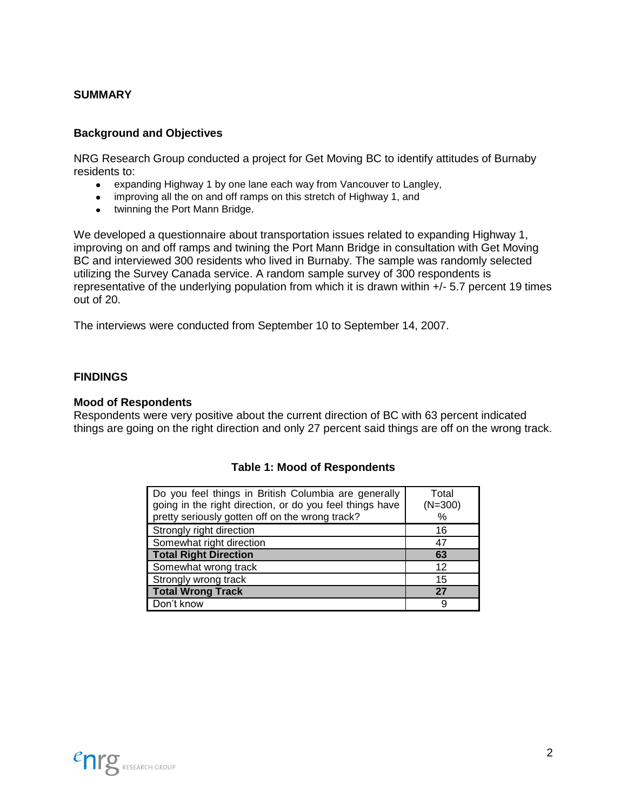#### **SUMMARY**

#### <span id="page-2-0"></span>**Background and Objectives**

NRG Research Group conducted a project for Get Moving BC to identify attitudes of Burnaby residents to:

- $\bullet$ expanding Highway 1 by one lane each way from Vancouver to Langley,
- improving all the on and off ramps on this stretch of Highway 1, and  $\bullet$
- twinning the Port Mann Bridge.  $\bullet$

We developed a questionnaire about transportation issues related to expanding Highway 1, improving on and off ramps and twining the Port Mann Bridge in consultation with Get Moving BC and interviewed 300 residents who lived in Burnaby. The sample was randomly selected utilizing the Survey Canada service. A random sample survey of 300 respondents is representative of the underlying population from which it is drawn within +/- 5.7 percent 19 times out of 20.

The interviews were conducted from September 10 to September 14, 2007.

#### **FINDINGS**

#### **Mood of Respondents**

<span id="page-2-1"></span>Respondents were very positive about the current direction of BC with 63 percent indicated things are going on the right direction and only 27 percent said things are off on the wrong track.

| Do you feel things in British Columbia are generally<br>going in the right direction, or do you feel things have<br>pretty seriously gotten off on the wrong track? | Total<br>$(N=300)$<br>% |
|---------------------------------------------------------------------------------------------------------------------------------------------------------------------|-------------------------|
| Strongly right direction                                                                                                                                            | 16                      |
| Somewhat right direction                                                                                                                                            | 47                      |
| <b>Total Right Direction</b>                                                                                                                                        | 63                      |
| Somewhat wrong track                                                                                                                                                | 12                      |
| Strongly wrong track                                                                                                                                                | 15                      |
| <b>Total Wrong Track</b>                                                                                                                                            | 27                      |
| Don't know                                                                                                                                                          | 9                       |

#### **Table 1: Mood of Respondents**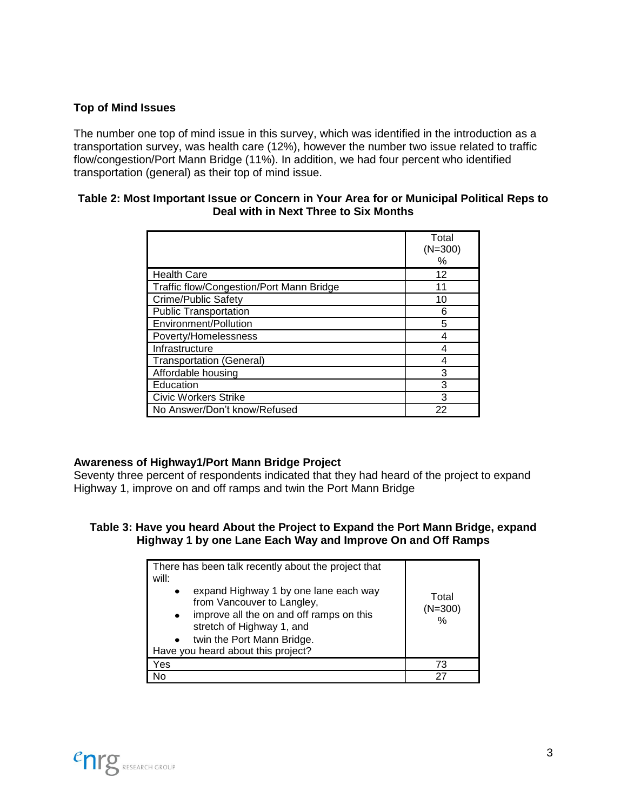#### **Top of Mind Issues**

The number one top of mind issue in this survey, which was identified in the introduction as a transportation survey, was health care (12%), however the number two issue related to traffic flow/congestion/Port Mann Bridge (11%). In addition, we had four percent who identified transportation (general) as their top of mind issue.

#### <span id="page-3-0"></span>**Table 2: Most Important Issue or Concern in Your Area for or Municipal Political Reps to Deal with in Next Three to Six Months**

|                                          | Total<br>$(N=300)$<br>$\%$ |
|------------------------------------------|----------------------------|
| <b>Health Care</b>                       | 12                         |
| Traffic flow/Congestion/Port Mann Bridge | 11                         |
| Crime/Public Safety                      | 10                         |
| <b>Public Transportation</b>             | 6                          |
| Environment/Pollution                    | 5                          |
| Poverty/Homelessness                     | 4                          |
| Infrastructure                           |                            |
| <b>Transportation (General)</b>          |                            |
| Affordable housing                       | 3                          |
| Education                                | 3                          |
| <b>Civic Workers Strike</b>              | 3                          |
| No Answer/Don't know/Refused             | 22                         |

#### **Awareness of Highway1/Port Mann Bridge Project**

Seventy three percent of respondents indicated that they had heard of the project to expand Highway 1, improve on and off ramps and twin the Port Mann Bridge

#### <span id="page-3-1"></span>**Table 3: Have you heard About the Project to Expand the Port Mann Bridge, expand Highway 1 by one Lane Each Way and Improve On and Off Ramps**

| There has been talk recently about the project that<br>will:<br>expand Highway 1 by one lane each way<br>$\bullet$<br>from Vancouver to Langley,<br>improve all the on and off ramps on this<br>$\bullet$<br>stretch of Highway 1, and<br>twin the Port Mann Bridge.<br>$\bullet$<br>Have you heard about this project? | Total<br>$(N=300)$<br>$\frac{9}{6}$ |
|-------------------------------------------------------------------------------------------------------------------------------------------------------------------------------------------------------------------------------------------------------------------------------------------------------------------------|-------------------------------------|
| Yes                                                                                                                                                                                                                                                                                                                     | 73                                  |
| No                                                                                                                                                                                                                                                                                                                      | 27                                  |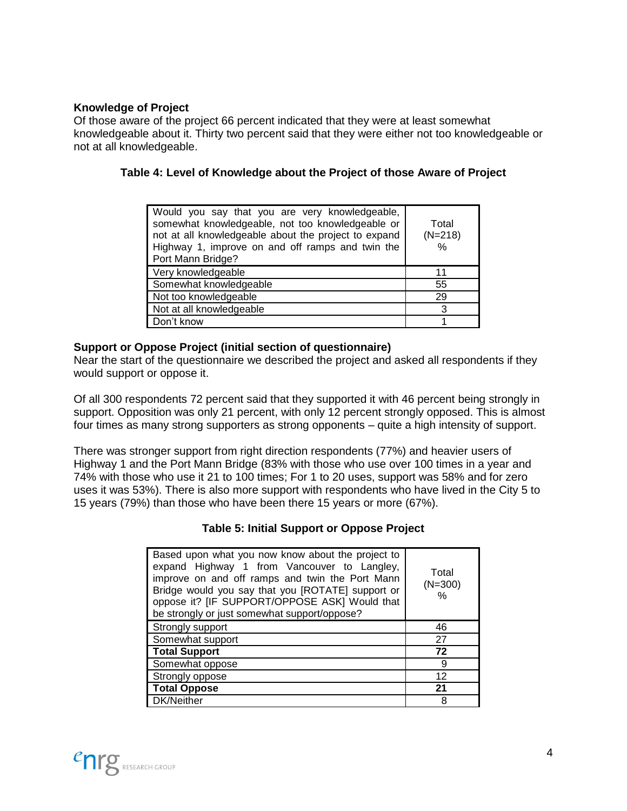#### **Knowledge of Project**

Of those aware of the project 66 percent indicated that they were at least somewhat knowledgeable about it. Thirty two percent said that they were either not too knowledgeable or not at all knowledgeable.

#### <span id="page-4-0"></span>**Table 4: Level of Knowledge about the Project of those Aware of Project**

| Would you say that you are very knowledgeable,<br>somewhat knowledgeable, not too knowledgeable or<br>not at all knowledgeable about the project to expand<br>Highway 1, improve on and off ramps and twin the<br>Port Mann Bridge? | Total<br>$(N=218)$<br>% |
|-------------------------------------------------------------------------------------------------------------------------------------------------------------------------------------------------------------------------------------|-------------------------|
|                                                                                                                                                                                                                                     |                         |
| Very knowledgeable                                                                                                                                                                                                                  | 11                      |
| Somewhat knowledgeable                                                                                                                                                                                                              | 55                      |
| Not too knowledgeable                                                                                                                                                                                                               | 29                      |
| Not at all knowledgeable                                                                                                                                                                                                            | 3                       |

#### **Support or Oppose Project (initial section of questionnaire)**

Near the start of the questionnaire we described the project and asked all respondents if they would support or oppose it.

Of all 300 respondents 72 percent said that they supported it with 46 percent being strongly in support. Opposition was only 21 percent, with only 12 percent strongly opposed. This is almost four times as many strong supporters as strong opponents – quite a high intensity of support.

<span id="page-4-1"></span>There was stronger support from right direction respondents (77%) and heavier users of Highway 1 and the Port Mann Bridge (83% with those who use over 100 times in a year and 74% with those who use it 21 to 100 times; For 1 to 20 uses, support was 58% and for zero uses it was 53%). There is also more support with respondents who have lived in the City 5 to 15 years (79%) than those who have been there 15 years or more (67%).

#### **Table 5: Initial Support or Oppose Project**

| Based upon what you now know about the project to<br>expand Highway 1 from Vancouver to Langley,<br>improve on and off ramps and twin the Port Mann<br>Bridge would you say that you [ROTATE] support or<br>oppose it? [IF SUPPORT/OPPOSE ASK] Would that<br>be strongly or just somewhat support/oppose? | Total<br>$(N=300)$<br>$\%$ |
|-----------------------------------------------------------------------------------------------------------------------------------------------------------------------------------------------------------------------------------------------------------------------------------------------------------|----------------------------|
| Strongly support                                                                                                                                                                                                                                                                                          | 46                         |
| Somewhat support                                                                                                                                                                                                                                                                                          | 27                         |
| <b>Total Support</b>                                                                                                                                                                                                                                                                                      | 72                         |
| Somewhat oppose                                                                                                                                                                                                                                                                                           | 9                          |
| Strongly oppose                                                                                                                                                                                                                                                                                           | 12                         |
| <b>Total Oppose</b>                                                                                                                                                                                                                                                                                       | 21                         |
| DK/Neither                                                                                                                                                                                                                                                                                                | 8                          |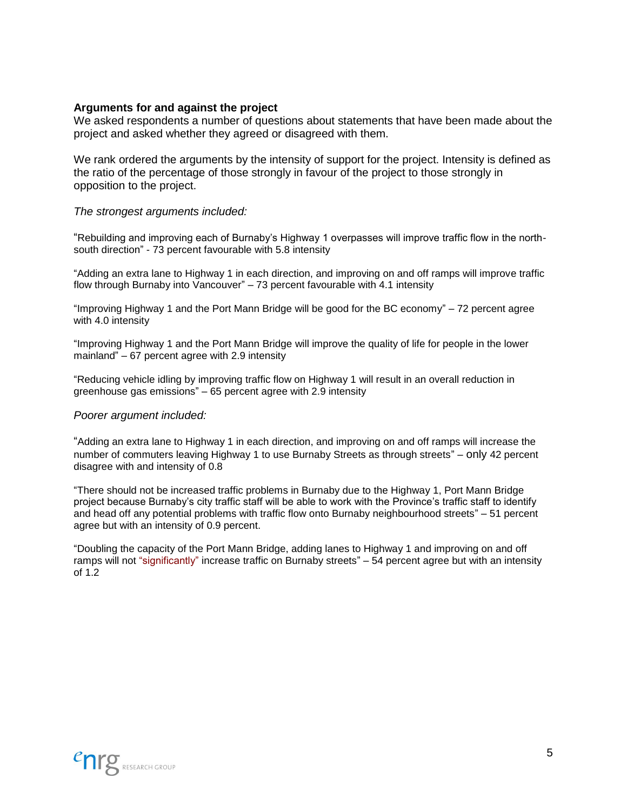#### **Arguments for and against the project**

We asked respondents a number of questions about statements that have been made about the project and asked whether they agreed or disagreed with them.

We rank ordered the arguments by the intensity of support for the project. Intensity is defined as the ratio of the percentage of those strongly in favour of the project to those strongly in opposition to the project.

#### <span id="page-5-0"></span>*The strongest arguments included:*

"Rebuilding and improving each of Burnaby's Highway 1 overpasses will improve traffic flow in the northsouth direction" - 73 percent favourable with 5.8 intensity

"Adding an extra lane to Highway 1 in each direction, and improving on and off ramps will improve traffic flow through Burnaby into Vancouver" – 73 percent favourable with 4.1 intensity

"Improving Highway 1 and the Port Mann Bridge will be good for the BC economy" – 72 percent agree with 4.0 intensity

"Improving Highway 1 and the Port Mann Bridge will improve the quality of life for people in the lower mainland" – 67 percent agree with 2.9 intensity

"Reducing vehicle idling by improving traffic flow on Highway 1 will result in an overall reduction in greenhouse gas emissions" – 65 percent agree with 2.9 intensity

#### *Poorer argument included:*

"Adding an extra lane to Highway 1 in each direction, and improving on and off ramps will increase the number of commuters leaving Highway 1 to use Burnaby Streets as through streets" – only 42 percent disagree with and intensity of 0.8

"There should not be increased traffic problems in Burnaby due to the Highway 1, Port Mann Bridge project because Burnaby's city traffic staff will be able to work with the Province's traffic staff to identify and head off any potential problems with traffic flow onto Burnaby neighbourhood streets" – 51 percent agree but with an intensity of 0.9 percent.

"Doubling the capacity of the Port Mann Bridge, adding lanes to Highway 1 and improving on and off ramps will not "significantly" increase traffic on Burnaby streets" – 54 percent agree but with an intensity of 1.2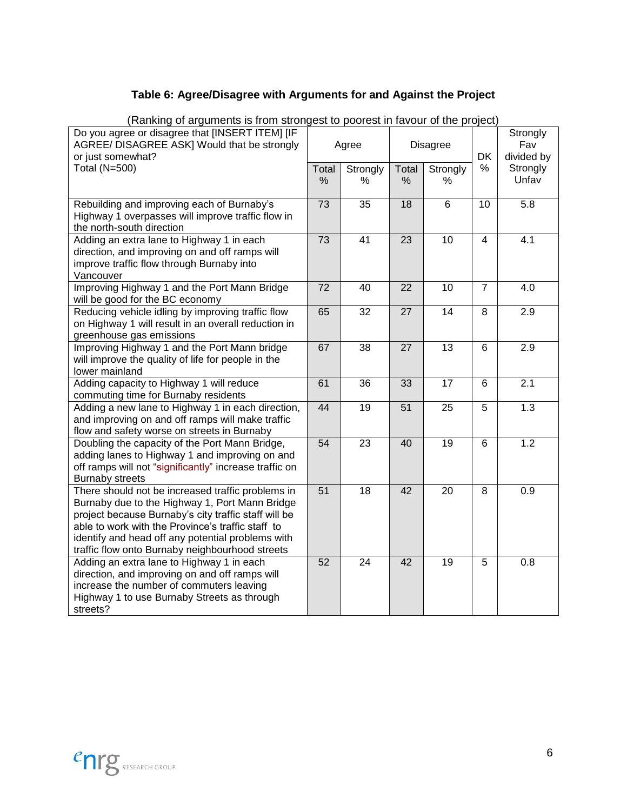### **Table 6: Agree/Disagree with Arguments for and Against the Project**

| raining or arguments is non-subrigest to poorest in lavour or the project)<br>Do you agree or disagree that [INSERT ITEM] [IF<br>AGREE/ DISAGREE ASK] Would that be strongly<br>or just somewhat?<br>Total (N=500)                                                                                                       | Total<br>$\%$ | Agree<br>Strongly<br>% | Total<br>$\%$ | <b>Disagree</b><br>Strongly<br>% | <b>DK</b><br>% | Strongly<br>Fav<br>divided by<br>Strongly<br>Unfav |
|--------------------------------------------------------------------------------------------------------------------------------------------------------------------------------------------------------------------------------------------------------------------------------------------------------------------------|---------------|------------------------|---------------|----------------------------------|----------------|----------------------------------------------------|
| Rebuilding and improving each of Burnaby's<br>Highway 1 overpasses will improve traffic flow in<br>the north-south direction                                                                                                                                                                                             | 73            | $\overline{35}$        | 18            | $\overline{6}$                   | 10             | $\overline{5.8}$                                   |
| Adding an extra lane to Highway 1 in each<br>direction, and improving on and off ramps will<br>improve traffic flow through Burnaby into<br>Vancouver                                                                                                                                                                    | 73            | 41                     | 23            | 10                               | 4              | 4.1                                                |
| Improving Highway 1 and the Port Mann Bridge<br>will be good for the BC economy                                                                                                                                                                                                                                          | 72            | 40                     | 22            | 10                               | $\overline{7}$ | 4.0                                                |
| Reducing vehicle idling by improving traffic flow<br>on Highway 1 will result in an overall reduction in<br>greenhouse gas emissions                                                                                                                                                                                     | 65            | 32                     | 27            | 14                               | 8              | 2.9                                                |
| Improving Highway 1 and the Port Mann bridge<br>will improve the quality of life for people in the<br>lower mainland                                                                                                                                                                                                     | 67            | 38                     | 27            | 13                               | 6              | 2.9                                                |
| Adding capacity to Highway 1 will reduce<br>commuting time for Burnaby residents                                                                                                                                                                                                                                         | 61            | 36                     | 33            | 17                               | 6              | $\overline{2}.1$                                   |
| Adding a new lane to Highway 1 in each direction,<br>and improving on and off ramps will make traffic<br>flow and safety worse on streets in Burnaby                                                                                                                                                                     | 44            | 19                     | 51            | 25                               | 5              | 1.3                                                |
| Doubling the capacity of the Port Mann Bridge,<br>adding lanes to Highway 1 and improving on and<br>off ramps will not "significantly" increase traffic on<br><b>Burnaby streets</b>                                                                                                                                     | 54            | 23                     | 40            | 19                               | 6              | 1.2                                                |
| There should not be increased traffic problems in<br>Burnaby due to the Highway 1, Port Mann Bridge<br>project because Burnaby's city traffic staff will be<br>able to work with the Province's traffic staff to<br>identify and head off any potential problems with<br>traffic flow onto Burnaby neighbourhood streets | 51            | 18                     | 42            | 20                               | 8              | 0.9                                                |
| Adding an extra lane to Highway 1 in each<br>direction, and improving on and off ramps will<br>increase the number of commuters leaving<br>Highway 1 to use Burnaby Streets as through<br>streets?                                                                                                                       | 52            | 24                     | 42            | 19                               | 5              | 0.8                                                |

(Ranking of arguments is from strongest to poorest in favour of the project)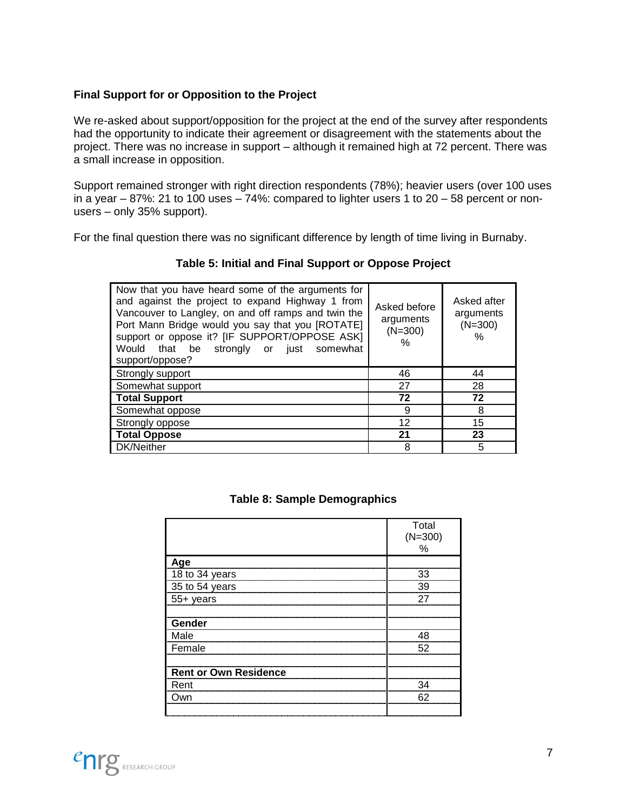#### **Final Support for or Opposition to the Project**

We re-asked about support/opposition for the project at the end of the survey after respondents had the opportunity to indicate their agreement or disagreement with the statements about the project. There was no increase in support – although it remained high at 72 percent. There was a small increase in opposition.

Support remained stronger with right direction respondents (78%); heavier users (over 100 uses in a year  $-87\%$ : 21 to 100 uses  $-74\%$ : compared to lighter users 1 to 20  $-58$  percent or nonusers – only 35% support).

<span id="page-7-0"></span>For the final question there was no significant difference by length of time living in Burnaby.

| Table 5: Initial and Final Support or Oppose Project |
|------------------------------------------------------|
|                                                      |

| Now that you have heard some of the arguments for<br>and against the project to expand Highway 1 from<br>Vancouver to Langley, on and off ramps and twin the<br>Port Mann Bridge would you say that you [ROTATE]<br>support or oppose it? [IF SUPPORT/OPPOSE ASK]<br>Would that be strongly or just somewhat<br>support/oppose? | Asked before<br>arguments<br>$(N=300)$<br>% | Asked after<br>arguments<br>$(N=300)$<br>$\%$ |
|---------------------------------------------------------------------------------------------------------------------------------------------------------------------------------------------------------------------------------------------------------------------------------------------------------------------------------|---------------------------------------------|-----------------------------------------------|
| Strongly support                                                                                                                                                                                                                                                                                                                | 46                                          | 44                                            |
| Somewhat support                                                                                                                                                                                                                                                                                                                | 27                                          | 28                                            |
| <b>Total Support</b>                                                                                                                                                                                                                                                                                                            | 72                                          | 72                                            |
| Somewhat oppose                                                                                                                                                                                                                                                                                                                 | 9                                           | 8                                             |
| Strongly oppose                                                                                                                                                                                                                                                                                                                 | 12                                          | 15                                            |
| <b>Total Oppose</b>                                                                                                                                                                                                                                                                                                             | 21                                          | 23                                            |
| DK/Neither                                                                                                                                                                                                                                                                                                                      | 8                                           | 5                                             |

| Table 8: Sample Demographics |
|------------------------------|
|------------------------------|

<span id="page-7-1"></span>

|                              | Total<br>$(N=300)$<br>$\%$ |
|------------------------------|----------------------------|
| Age                          |                            |
| 18 to 34 years               | 33                         |
| 35 to 54 years               | 39                         |
| 55+ years                    | 27                         |
|                              |                            |
| Gender                       |                            |
| Male                         | 48                         |
| Female                       | 52                         |
|                              |                            |
| <b>Rent or Own Residence</b> |                            |
| Rent                         | 34                         |
| Own                          | 62                         |
|                              |                            |